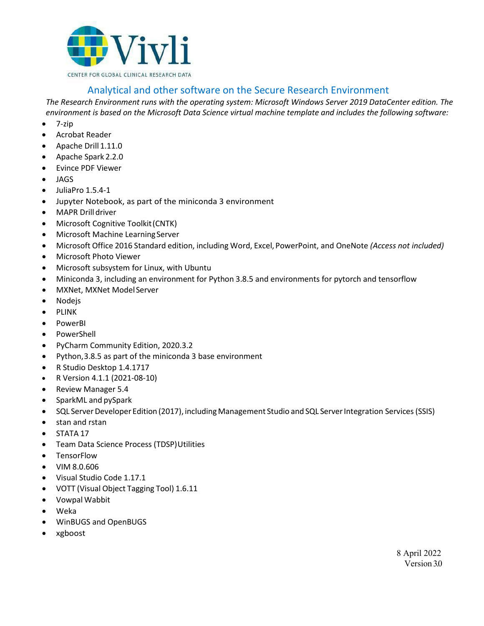

## Analytical and other software on the Secure Research Environment

*The Research Environment runs with the operating system: Microsoft Windows Server 2019 DataCenter edition. The environment is based on the Microsoft Data Science virtual machine template and includes the following software:*

- 7‐zip
- Acrobat Reader
- Apache Drill 1.11.0
- Apache Spark 2.2.0
- Evince PDF Viewer
- JAGS
- JuliaPro 1.5.4-1
- Jupyter Notebook, as part of the miniconda 3 environment
- MAPR Drilldriver
- Microsoft Cognitive Toolkit(CNTK)
- Microsoft Machine Learning Server
- Microsoft Office 2016 Standard edition, including Word, Excel, PowerPoint, and OneNote *(Access not included)*
- Microsoft Photo Viewer
- Microsoft subsystem for Linux, with Ubuntu
- Miniconda 3, including an environment for Python 3.8.5 and environments for pytorch and tensorflow
- MXNet, MXNet Model Server
- Nodejs
- PLINK
- PowerBI
- PowerShell
- PyCharm Community Edition, 2020.3.2
- Python,3.8.5 as part of the miniconda 3 base environment
- R Studio Desktop 1.4.1717
- R Version 4.1.1 (2021-08-10)
- Review Manager 5.4
- SparkML and pySpark
- SQL Server Developer Edition (2017), including Management Studio and SQL Server Integration Services (SSIS)
- stan and rstan
- STATA 17
- Team Data Science Process (TDSP)Utilities
- TensorFlow
- VIM 8.0.606
- Visual Studio Code 1.17.1
- VOTT (Visual Object Tagging Tool) 1.6.11
- Vowpal Wabbit
- Weka
- WinBUGS and OpenBUGS
- xgboost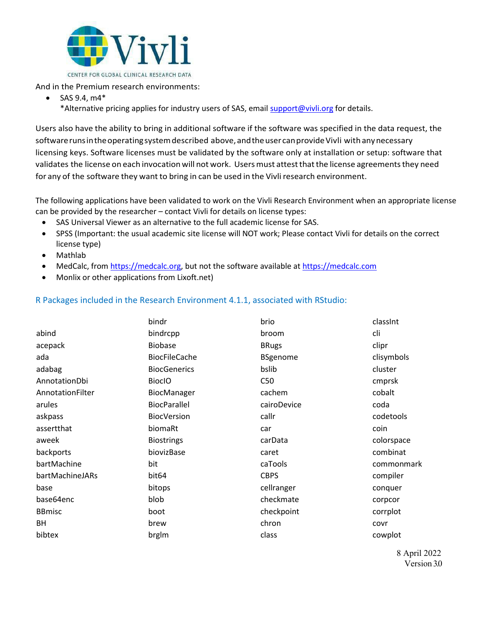

And in the Premium research environments:

- SAS  $9.4. m4*$ 
	- \*Alternative pricing applies for industry users of SAS, email [support@vivli.org](mailto:support@vivli.org) for details.

Users also have the ability to bring in additional software if the software was specified in the data request, the software runs in the operating system described above, and the user can provide Vivli with any necessary licensing keys. Software licenses must be validated by the software only at installation or setup: software that validates the license on each invocation will not work. Users must attest that the license agreements they need for any of the software they want to bring in can be used in the Vivli research environment.

The following applications have been validated to work on the Vivli Research Environment when an appropriate license can be provided by the researcher – contact Vivli for details on license types:

- SAS Universal Viewer as an alternative to the full academic license for SAS.
- SPSS (Important: the usual academic site license will NOT work; Please contact Vivli for details on the correct license type)
- Mathlab
- MedCalc, fro[m https://medcalc.org,](https://medcalc.org/) but not the software available a[t https://medcalc.com](https://medcalc.com/)
- Monlix or other applications from Lixoft.net)

## R Packages included in the Research Environment 4.1.1, associated with RStudio:

|                  | bindr                | brio            | classInt   |
|------------------|----------------------|-----------------|------------|
| abind            | bindrcpp             | broom           | cli        |
| acepack          | <b>Biobase</b>       | <b>BRugs</b>    | clipr      |
| ada              | <b>BiocFileCache</b> | <b>BSgenome</b> | clisymbols |
| adabag           | <b>BiocGenerics</b>  | bslib           | cluster    |
| AnnotationDbi    | <b>BioclO</b>        | C50             | cmprsk     |
| AnnotationFilter | BiocManager          | cachem          | cobalt     |
| arules           | <b>BiocParallel</b>  | cairoDevice     | coda       |
| askpass          | <b>BiocVersion</b>   | callr           | codetools  |
| assertthat       | biomaRt              | car             | coin       |
| aweek            | <b>Biostrings</b>    | carData         | colorspace |
| backports        | biovizBase           | caret           | combinat   |
| bartMachine      | bit                  | caTools         | commonmark |
| bartMachineJARs  | bit64                | <b>CBPS</b>     | compiler   |
| base             | bitops               | cellranger      | conquer    |
| base64enc        | blob                 | checkmate       | corpcor    |
| <b>BBmisc</b>    | boot                 | checkpoint      | corrplot   |
| BH               | brew                 | chron           | covr       |
| bibtex           | brglm                | class           | cowplot    |

8 April 2022 Version 3.0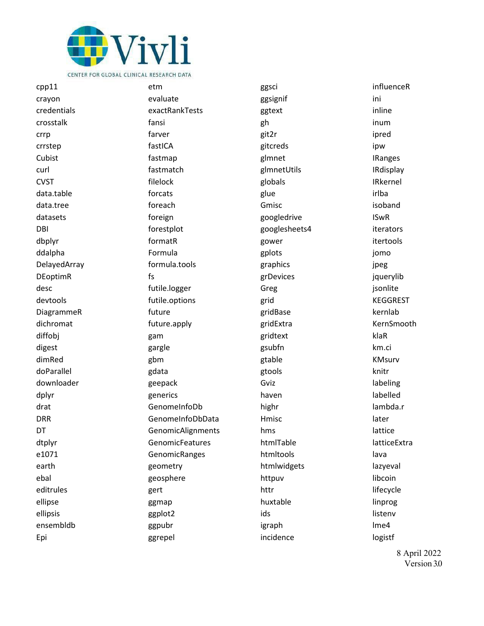

cpp11 crayon credentials crosstalk crrp crrstep Cubist curl CVST data.table data.tree datasets DBI dbplyr ddalpha DelayedArray DEoptimR desc devtools DiagrammeR dichromat diffobj digest dimRed doParallel downloader dplyr drat DRR DT dtplyr e1071 earth ebal editrules ellipse ellipsis ensembldb Epi

etm evaluate exactRankTests fansi farver fastICA fastmap fastmatch filelock forcats foreach foreign forestplot formatR Formula formula.tools fs futile.logger futile.options future future.apply gam gargle gbm gdata geepack generics GenomeInfoDb GenomeInfoDbData GenomicAlignments **GenomicFeatures GenomicRanges** geometry geosphere gert ggmap ggplot2 ggpubr ggrepel

ggsci ggsignif ggtext gh git2r gitcreds glmnet glmnetUtils globals glue Gmisc googledrive googlesheets4 gower gplots graphics grDevices Greg grid gridBase gridExtra gridtext gsubfn gtable gtools Gviz haven highr Hmisc hms htmlTable htmltools htmlwidgets httpuv httr huxtable ids igraph incidence

influenceR ini inline inum ipred ipw IRanges IRdisplay IRkernel irlba isoband ISwR iterators itertools jomo jpeg jquerylib jsonlite KEGGREST kernlab KernSmooth klaR km.ci KMsurv knitr labeling labelled lambda.r later lattice latticeExtra lava lazyeval libcoin lifecycle linprog listenv lme4 logistf

> 8 April 2022 Version 3.0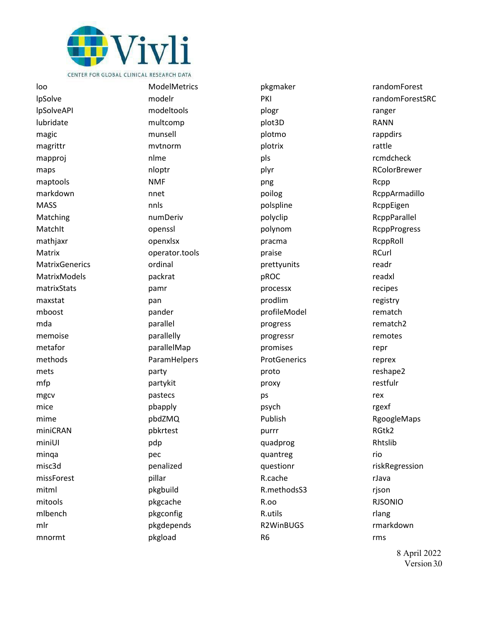

IpSolve **lpSolveAPI** lubridate magic magrittr mapproj maps maptools markdown **MASS** Matching MatchIt mathjaxr Matrix **MatrixGenerics MatrixModels** matrixStats maxstat mboost mda memoise metafor methods mets mfp mgcv mice mime miniCRAN miniUI minga misc3d missForest mitml mitools mlbench mlr mnormt

loo

**ModelMetrics** modelr modeltools multcomp munsell mytnorm nlme nloptr **NMF** nnet nnls numDeriv openssl openxlsx operator.tools ordinal packrat pamr pan pander parallel parallelly parallelMap ParamHelpers party partykit pastecs pbapply pbdZMQ pbkrtest pdp pec penalized pillar pkgbuild pkgcache pkgconfig pkgdepends pkgload

pkgmaker PKI plogr plot3D plotmo plotrix pls plyr png poilog polspline polyclip polynom pracma praise prettyunits pROC processx prodlim profileModel progress progressr promises ProtGenerics proto proxy ps psych Publish purrr quadprog quantreg questionr R.cache R.methodsS3  $R.00$ R.utils R2WinBUGS R<sub>6</sub>

randomForest randomForestSRC ranger **RANN** rappdirs rattle rcmdcheck **RColorBrewer** Rcpp RcppArmadillo RcppEigen RcppParallel **RcppProgress** RcppRoll RCurl readr readxl recipes registry rematch rematch<sub>2</sub> remotes repr reprex reshape2 restfulr rex rgexf RgoogleMaps RGtk2 Rhtslib rio riskRegression rJava rjson **RJSONIO** rlang rmarkdown rms

8 April 2022 Version 30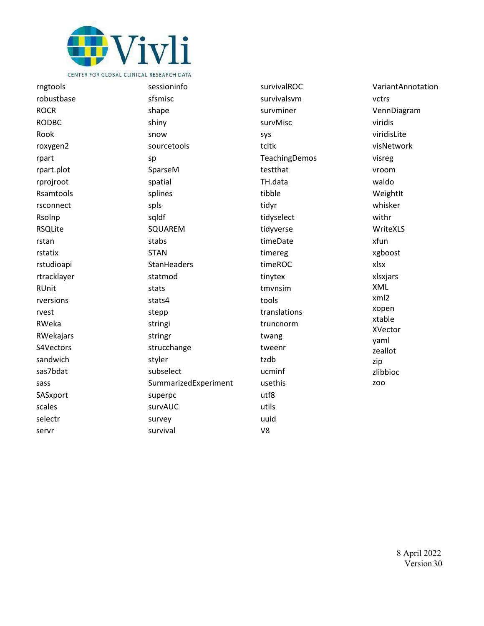

rngtools robustbase **ROCR RODBC** Rook roxygen2 rpart rpart.plot rprojroot Rsamtools rsconnect Rsolnp **RSQLite** rstan rstatix rstudioapi rtracklayer **RUnit** rversions rvest RWeka RWekajars S4Vectors sandwich sas7bdat sass SASxport scales selectr servr

sessioninfo sfsmisc shape shiny snow sourcetools sp SparseM spatial splines spls sqldf SQUAREM stabs **STAN StanHeaders** statmod stats stats4 stepp stringi stringr strucchange styler subselect SummarizedExperiment superpc survAUC survey survival

survivalROC survivalsym survminer survMisc sys tcltk TeachingDemos testthat TH.data tibble tidyr tidyselect tidyverse timeDate timereg timeROC tinytex tmvnsim tools translations truncnorm twang tweenr tzdb ucminf usethis  $utf8$ utils uuid

 $V8$ 

VariantAnnotation vctrs VennDiagram viridis viridisLite visNetwork visreg vroom waldo Weightlt whisker withr WriteXLS xfun xgboost xlsx xlsxjars XML xml2 xopen xtable XVector yaml zeallot zip zlibbioc **ZOO**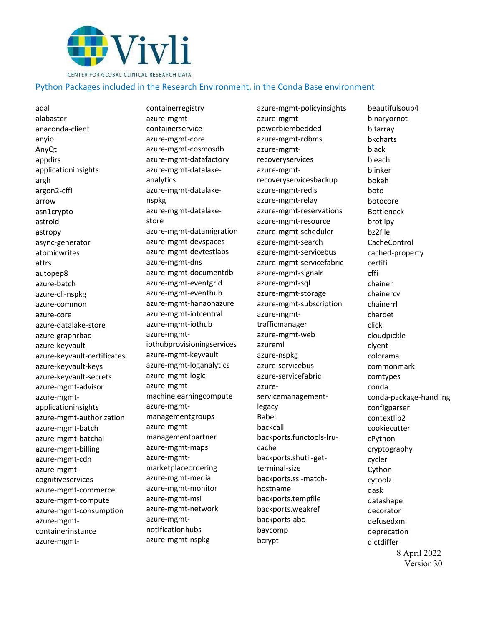

## Python Packages included in the Research Environment, in the Conda Base environment

adal alabaster anaconda-client anyio AnyQt appdirs applicationinsights argh argon2-cffi arrow asn1crypto astroid astropy async-generator atomicwrites attrs autopep8 azure-batch azure-cli-nspkg azure-common azure-core azure-datalake-store azure-graphrbac azure-keyvault azure-keyvault-certificates azure-keyvault-keys azure-keyvault-secrets azure-mgmt-advisor azure-mgmtapplicationinsights azure-mgmt-authorization azure-mgmt-batch azure-mgmt-batchai azure-mgmt-billing azure-mgmt-cdn azure-mgmtcognitiveservices azure-mgmt-commerce azure-mgmt-compute azure-mgmt-consumption azure-mgmtcontainerinstance azure-mgmt-

containerregistry azure-mgmtcontainerservice azure-mgmt-core azure-mgmt-cosmosdb azure-mgmt-datafactory azure-mgmt-datalakeanalytics azure-mgmt-datalakenspkg azure-mgmt-datalakestore azure-mgmt-datamigration azure-mgmt-devspaces azure-mgmt-devtestlabs azure-mgmt-dns azure-mgmt-documentdb azure-mgmt-eventgrid azure-mgmt-eventhub azure-mgmt-hanaonazure azure-mgmt-iotcentral azure-mgmt-iothub azure-mgmtiothubprovisioningservices azure-mgmt-keyvault azure-mgmt-loganalytics azure-mgmt-logic azure-mgmtmachinelearningcompute azure-mgmtmanagementgroups azure-mgmtmanagementpartner azure-mgmt-maps azure-mgmtmarketplaceordering azure-mgmt-media azure-mgmt-monitor azure-mgmt-msi azure-mgmt-network azure-mgmtnotificationhubs azure-mgmt-nspkg

azure-mgmt-policyinsights azure-mgmtpowerbiembedded azure-mgmt-rdbms azure-mgmtrecoveryservices azure-mgmtrecoveryservicesbackup azure-mgmt-redis azure-mgmt-relay azure-mgmt-reservations azure-mgmt-resource azure-mgmt-scheduler azure-mgmt-search azure-mgmt-servicebus azure-mgmt-servicefabric azure-mgmt-signalr azure-mgmt-sql azure-mgmt-storage azure-mgmt-subscription azure-mgmttrafficmanager azure-mgmt-web azureml azure-nspkg azure-servicebus azure-servicefabric azureservicemanagementlegacy Babel backcall backports.functools-lrucache backports.shutil-getterminal-size backports.ssl-matchhostname backports.tempfile backports.weakref backports-abc baycomp bcrypt

8 April 2022 beautifulsoup4 binaryornot bitarray bkcharts black bleach blinker bokeh boto botocore Bottleneck brotlipy bz2file CacheControl cached-property certifi cffi chainer chainercv chainerrl chardet click cloudpickle clyent colorama commonmark comtypes conda conda-package-handling configparser contextlib2 cookiecutter cPython cryptography cycler Cython cytoolz dask datashape decorator defusedxml deprecation dictdiffer

Version 3.0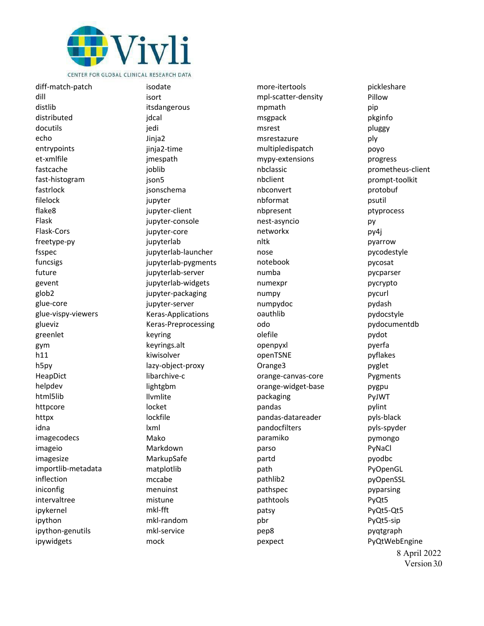

diff -match -patch dill distlib distributed docutils echo entrypoints et -xmlfile fastcache fast -histogram fastrlock filelock flake8 Flask Flask -Cors freetype -py fsspec funcsigs future gevent glob2 glue -core glue -vispy -viewers glueviz greenlet gym h11 h5py HeapDict helpdev html5lib httpcore httpx idna imagecodecs imageio imagesize importlib -metadata inflection iniconfig intervaltree ipykernel ipython ipython -genutils ipywidgets

isodate isort itsdangerous jdcal jedi Jinja2 jinja2 -time jmespath joblib json<sub>5</sub> jsonschema jupyter jupyter -client jupyter -console jupyter -core jupyterlab jupyterlab -launcher jupyterlab -pygments jupyterlab -server jupyterlab -widgets jupyter -packaging jupyter -server Keras -Applications Keras -Preprocessing keyring keyrings.alt kiwisolver lazy -object -proxy libarchive -c lightgbm llvmlite locket lockfile lxml Mako Markdown MarkupSafe matplotlib mccabe menuinst mistune mkl -fft mkl -random mkl -service mock

more -itertools mpl -scatter -density mpmath msgpack msrest msrestazure multipledispatch mypy -extensions nbclassic nbclient nbconvert nbformat nbpresent nest -asyncio networkx nltk nose notebook numba numexpr numpy numpydoc oauthlib odo olefile openpyxl openTSNE Orange3 orange -canvas -core orange -widget -base packaging pandas pandas -datareader pandocfilters paramiko parso partd path pathlib2 pathspec pathtools patsy pbr pep8 pexpect

8 April 2022 Version 3.0 pickleshare Pillow pip pkginfo pluggy ply poyo progress prometheus -client prompt -toolkit protobuf psutil ptyprocess py py4j pyarrow pycodestyle pycosat pycparser pycrypto pycurl pydash pydocstyle pydocumentdb pydot pyerfa pyflakes pyglet Pygments pygpu PyJWT pylint pyls -black pyls -spyder pymongo PyNaCl pyodbc PyOpenGL pyOpenSSL pyparsing PyQt5 PyQt5 -Qt5 PyQt5 -sip pyqtgraph PyQtWebEngine